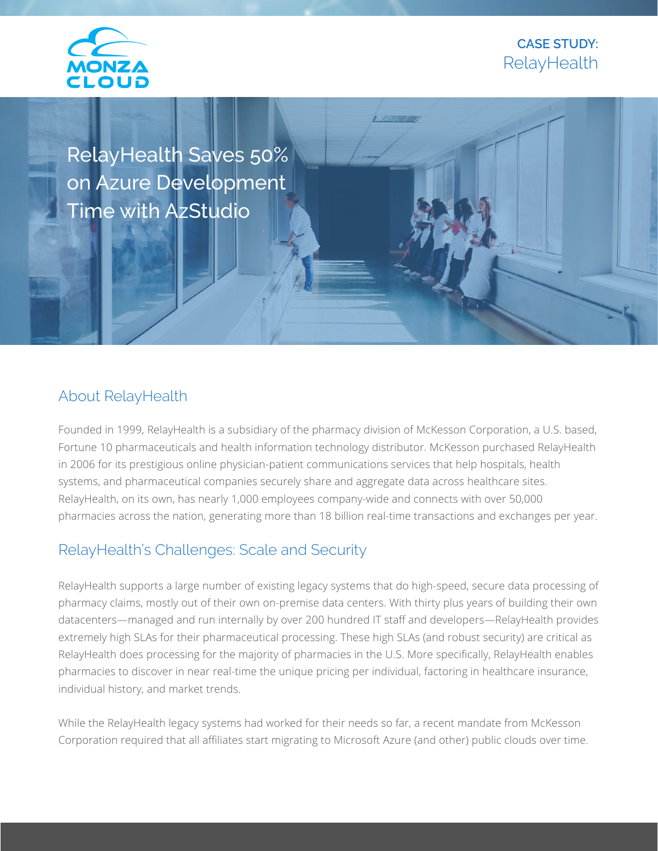

## **CASE STUDY: RelayHealth**

RelayHealth Saves 50% on Azure Development Time with AzStudio

#### About RelayHealth

Founded in 1999, RelayHealth is a subsidiary of the pharmacy division of McKesson Corporation, a U.S. based, Fortune 10 pharmaceuticals and health information technology distributor. McKesson purchased RelayHealth in 2006 for its prestigious online physician-patient communications services that help hospitals, health systems, and pharmaceutical companies securely share and aggregate data across healthcare sites. RelayHealth, on its own, has nearly 1,000 employees company-wide and connects with over 50,000 pharmacies across the nation, generating more than 18 billion real-time transactions and exchanges per year.

### RelayHealth's Challenges: Scale and Security

RelayHealth supports a large number of existing legacy systems that do high-speed, secure data processing of pharmacy claims, mostly out of their own on-premise data centers. With thirty plus years of building their own datacenters—managed and run internally by over 200 hundred IT staff and developers—RelayHealth provides extremely high SLAs for their pharmaceutical processing. These high SLAs (and robust security) are critical as RelayHealth does processing for the majority of pharmacies in the U.S. More specifically, RelayHealth enables pharmacies to discover in near real-time the unique pricing per individual, factoring in healthcare insurance, individual history, and market trends.

While the RelayHealth legacy systems had worked for their needs so far, a recent mandate from McKesson Corporation required that all affiliates start migrating to Microsoft Azure (and other) public clouds over time.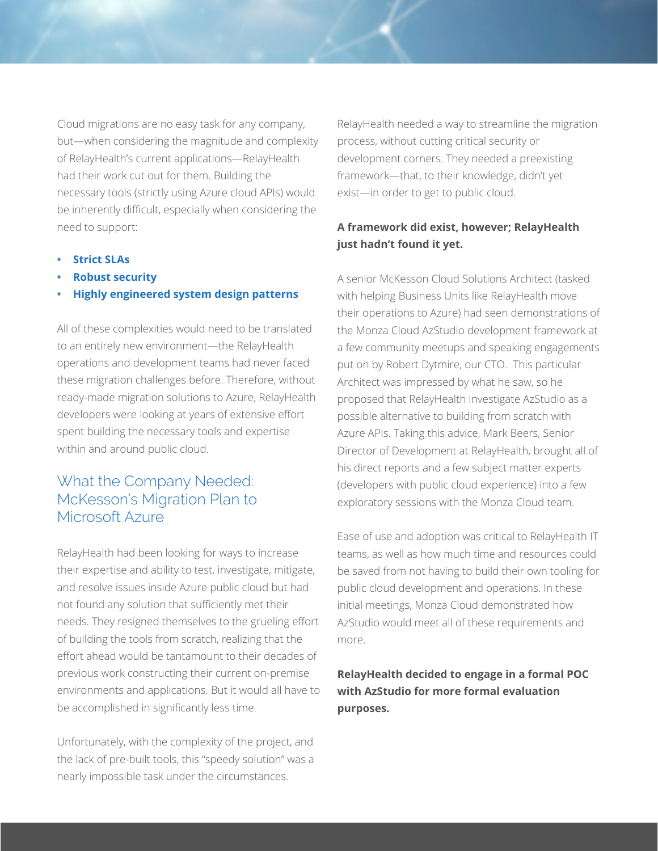Cloud migrations are no easy task for any company, but—when considering the magnitude and complexity of RelayHealth's current applications—RelayHealth had their work cut out for them. Building the necessary tools (strictly using Azure cloud APIs) would be inherently difficult, especially when considering the need to support:

- **• Strict SLAs**
- **• Robust security**
- **• Highly engineered system design patterns**

All of these complexities would need to be translated to an entirely new environment—the RelayHealth operations and development teams had never faced these migration challenges before. Therefore, without ready-made migration solutions to Azure, RelayHealth developers were looking at years of extensive effort spent building the necessary tools and expertise within and around public cloud.

## What the Company Needed: McKesson's Migration Plan to Microsoft Azure

RelayHealth had been looking for ways to increase their expertise and ability to test, investigate, mitigate, and resolve issues inside Azure public cloud but had not found any solution that sufficiently met their needs. They resigned themselves to the grueling effort of building the tools from scratch, realizing that the effort ahead would be tantamount to their decades of previous work constructing their current on-premise environments and applications. But it would all have to be accomplished in significantly less time.

Unfortunately, with the complexity of the project, and the lack of pre-built tools, this "speedy solution" was a nearly impossible task under the circumstances.

RelayHealth needed a way to streamline the migration process, without cutting critical security or development corners. They needed a preexisting framework—that, to their knowledge, didn't yet exist—in order to get to public cloud.

#### **A framework did exist, however; RelayHealth just hadn't found it yet.**

A senior McKesson Cloud Solutions Architect (tasked with helping Business Units like RelayHealth move their operations to Azure) had seen demonstrations of the Monza Cloud AzStudio development framework at a few community meetups and speaking engagements put on by Robert Dytmire, our CTO. This particular Architect was impressed by what he saw, so he proposed that RelayHealth investigate AzStudio as a possible alternative to building from scratch with Azure APIs. Taking this advice, Mark Beers, Senior Director of Development at RelayHealth, brought all of his direct reports and a few subject matter experts (developers with public cloud experience) into a few exploratory sessions with the Monza Cloud team.

Ease of use and adoption was critical to RelayHealth IT teams, as well as how much time and resources could be saved from not having to build their own tooling for public cloud development and operations. In these initial meetings, Monza Cloud demonstrated how AzStudio would meet all of these requirements and more.

**RelayHealth decided to engage in a formal POC with AzStudio for more formal evaluation purposes.**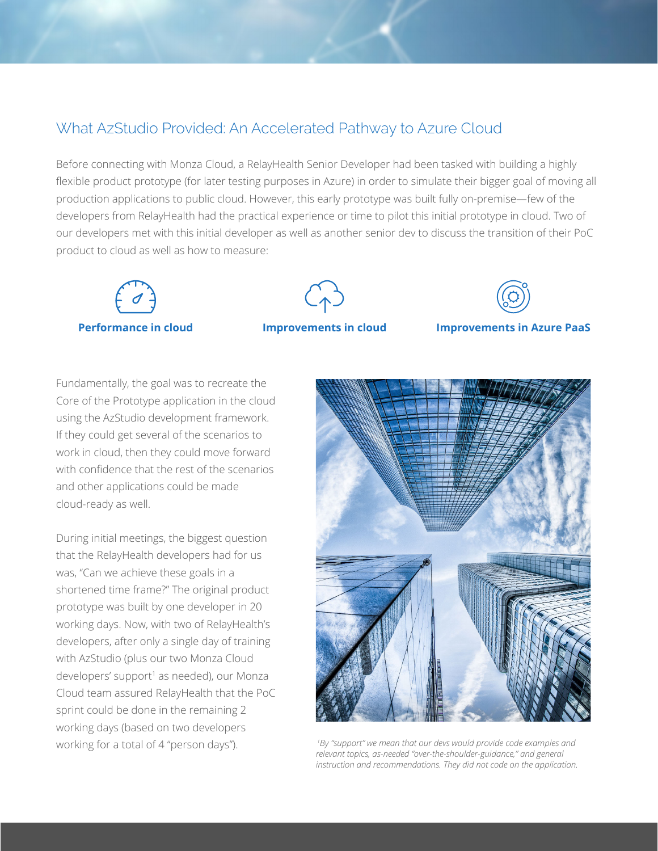## What AzStudio Provided: An Accelerated Pathway to Azure Cloud

Before connecting with Monza Cloud, a RelayHealth Senior Developer had been tasked with building a highly flexible product prototype (for later testing purposes in Azure) in order to simulate their bigger goal of moving all production applications to public cloud. However, this early prototype was built fully on-premise—few of the developers from RelayHealth had the practical experience or time to pilot this initial prototype in cloud. Two of our developers met with this initial developer as well as another senior dev to discuss the transition of their PoC product to cloud as well as how to measure:





**Performance in cloud Improvements in cloud Improvements in Azure PaaS**

Fundamentally, the goal was to recreate the Core of the Prototype application in the cloud using the AzStudio development framework. If they could get several of the scenarios to work in cloud, then they could move forward with confidence that the rest of the scenarios and other applications could be made cloud-ready as well.

During initial meetings, the biggest question that the RelayHealth developers had for us was, "Can we achieve these goals in a shortened time frame?" The original product prototype was built by one developer in 20 working days. Now, with two of RelayHealth's developers, after only a single day of training with AzStudio (plus our two Monza Cloud developers' support<sup>1</sup> as needed), our Monza Cloud team assured RelayHealth that the PoC sprint could be done in the remaining 2 working days (based on two developers working for a total of 4 "person days").



 *1By "support" we mean that our devs would provide code examples and relevant topics, as-needed "over-the-shoulder-guidance," and general instruction and recommendations. They did not code on the application.*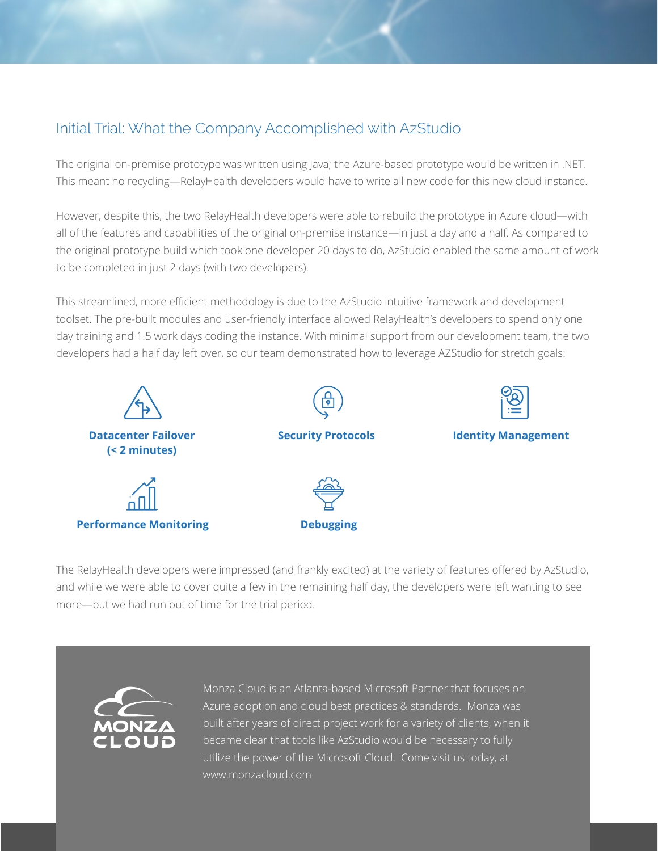# Initial Trial: What the Company Accomplished with AzStudio

The original on-premise prototype was written using Java; the Azure-based prototype would be written in .NET. This meant no recycling—RelayHealth developers would have to write all new code for this new cloud instance.

However, despite this, the two RelayHealth developers were able to rebuild the prototype in Azure cloud—with all of the features and capabilities of the original on-premise instance—in just a day and a half. As compared to the original prototype build which took one developer 20 days to do, AzStudio enabled the same amount of work to be completed in just 2 days (with two developers).

This streamlined, more efficient methodology is due to the AzStudio intuitive framework and development toolset. The pre-built modules and user-friendly interface allowed RelayHealth's developers to spend only one day training and 1.5 work days coding the instance. With minimal support from our development team, the two developers had a half day left over, so our team demonstrated how to leverage AZStudio for stretch goals:



The RelayHealth developers were impressed (and frankly excited) at the variety of features offered by AzStudio, and while we were able to cover quite a few in the remaining half day, the developers were left wanting to see more—but we had run out of time for the trial period.



Monza Cloud is an Atlanta-based Microsoft Partner that focuses on Azure adoption and cloud best practices & standards. Monza was built after years of direct project work for a variety of clients, when it became clear that tools like AzStudio would be necessary to fully utilize the power of the Microsoft Cloud. Come visit us today, at www.monzacloud.com